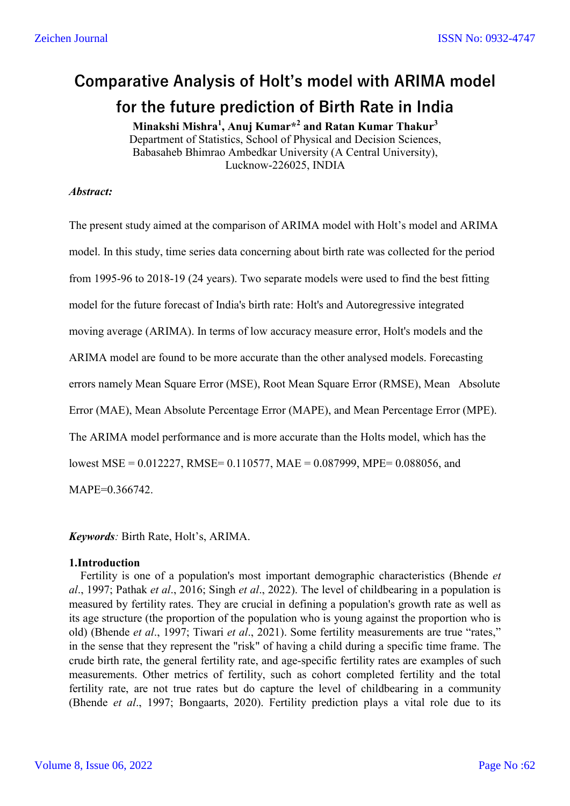# **Comparative Analysis of Holt's model with ARIMA model for the future prediction of Birth Rate in India**

**Minakshi Mishra<sup>1</sup> , Anuj Kumar\*2 and Ratan Kumar Thakur3** Department of Statistics, School of Physical and Decision Sciences, Babasaheb Bhimrao Ambedkar University (A Central University), Lucknow-226025, INDIA

### *Abstract:*

The present study aimed at the comparison of ARIMA model with Holt's model and ARIMA model. In this study, time series data concerning about birth rate was collected for the period from 1995-96 to 2018-19 (24 years). Two separate models were used to find the best fitting model for the future forecast of India's birth rate: Holt's and Autoregressive integrated moving average (ARIMA). In terms of low accuracy measure error, Holt's models and the ARIMA model are found to be more accurate than the other analysed models. Forecasting errors namely Mean Square Error (MSE), Root Mean Square Error (RMSE), Mean Absolute Error (MAE), Mean Absolute Percentage Error (MAPE), and Mean Percentage Error (MPE). The ARIMA model performance and is more accurate than the Holts model, which has the lowest MSE = 0.012227, RMSE= 0.110577, MAE = 0.087999, MPE= 0.088056, and MAPE=0.366742.

*Keywords:* Birth Rate, Holt's, ARIMA.

#### **1.Introduction**

 Fertility is one of a population's most important demographic characteristics (Bhende *et al*., 1997; Pathak *et al*., 2016; Singh *et al*., 2022). The level of childbearing in a population is measured by fertility rates. They are crucial in defining a population's growth rate as well as its age structure (the proportion of the population who is young against the proportion who is old) (Bhende *et al*., 1997; Tiwari *et al*., 2021). Some fertility measurements are true "rates," in the sense that they represent the "risk" of having a child during a specific time frame. The crude birth rate, the general fertility rate, and age-specific fertility rates are examples of such measurements. Other metrics of fertility, such as cohort completed fertility and the total fertility rate, are not true rates but do capture the level of childbearing in a community (Bhende *et al*., 1997; Bongaarts, 2020). Fertility prediction plays a vital role due to its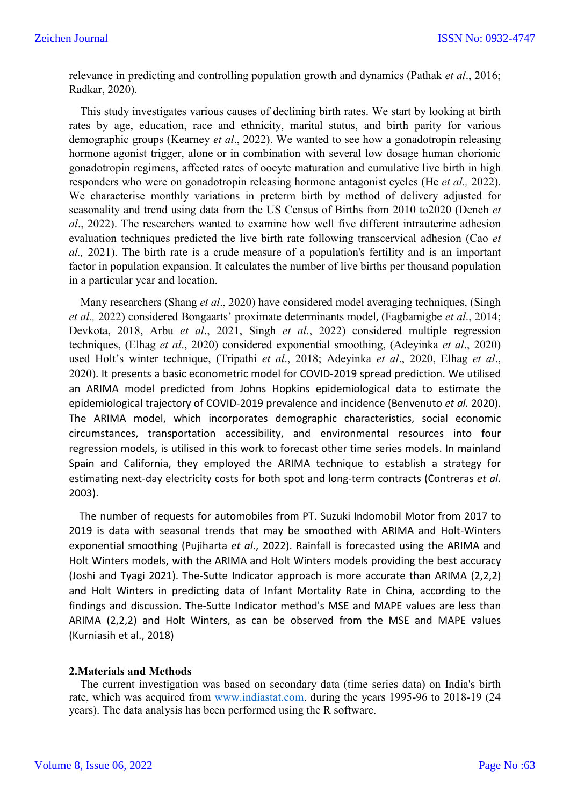relevance in predicting and controlling population growth and dynamics (Pathak *et al*., 2016; Radkar, 2020).

 This study investigates various causes of declining birth rates. We start by looking at birth rates by age, education, race and ethnicity, marital status, and birth parity for various demographic groups (Kearney *et al*., 2022). We wanted to see how a gonadotropin releasing hormone agonist trigger, alone or in combination with several low dosage human chorionic gonadotropin regimens, affected rates of oocyte maturation and cumulative live birth in high responders who were on gonadotropin releasing hormone antagonist cycles (He *et al.,* 2022). We characterise monthly variations in preterm birth by method of delivery adjusted for seasonality and trend using data from the US Census of Births from 2010 to2020 (Dench *et al*., 2022). The researchers wanted to examine how well five different intrauterine adhesion evaluation techniques predicted the live birth rate following transcervical adhesion (Cao *et al.,* 2021). The birth rate is a crude measure of a population's fertility and is an important factor in population expansion. It calculates the number of live births per thousand population in a particular year and location.

 Many researchers (Shang *et al*., 2020) have considered model averaging techniques, (Singh *et al.,* 2022) considered Bongaarts' proximate determinants model, (Fagbamigbe *et al*., 2014; Devkota, 2018, Arbu *et al*., 2021, Singh *et al*., 2022) considered multiple regression techniques, (Elhag *et al*., 2020) considered exponential smoothing, (Adeyinka *et al*., 2020) used Holt's winter technique, (Tripathi *et al*., 2018; Adeyinka *et al*., 2020, Elhag *et al*., 2020). It presents a basic econometric model for COVID-2019 spread prediction. We utilised an ARIMA model predicted from Johns Hopkins epidemiological data to estimate the epidemiological trajectory of COVID-2019 prevalence and incidence (Benvenuto *et al.* 2020). The ARIMA model, which incorporates demographic characteristics, social economic circumstances, transportation accessibility, and environmental resources into four regression models, is utilised in this work to forecast other time series models. In mainland Spain and California, they employed the ARIMA technique to establish a strategy for estimating next-day electricity costs for both spot and long-term contracts (Contreras *et al*. 2003).

 The number of requests for automobiles from PT. Suzuki Indomobil Motor from 2017 to 2019 is data with seasonal trends that may be smoothed with ARIMA and Holt-Winters exponential smoothing (Pujiharta *et al*., 2022). Rainfall is forecasted using the ARIMA and Holt Winters models, with the ARIMA and Holt Winters models providing the best accuracy (Joshi and Tyagi 2021). The-Sutte Indicator approach is more accurate than ARIMA (2,2,2) and Holt Winters in predicting data of Infant Mortality Rate in China, according to the findings and discussion. The-Sutte Indicator method's MSE and MAPE values are less than ARIMA (2,2,2) and Holt Winters, as can be observed from the MSE and MAPE values (Kurniasih et al., 2018)

#### **2.Materials and Methods**

 The current investigation was based on secondary data (time series data) on India's birth rate, which was acquired from www.indiastat.com. during the years 1995-96 to 2018-19 (24 years). The data analysis has been performed using the R software.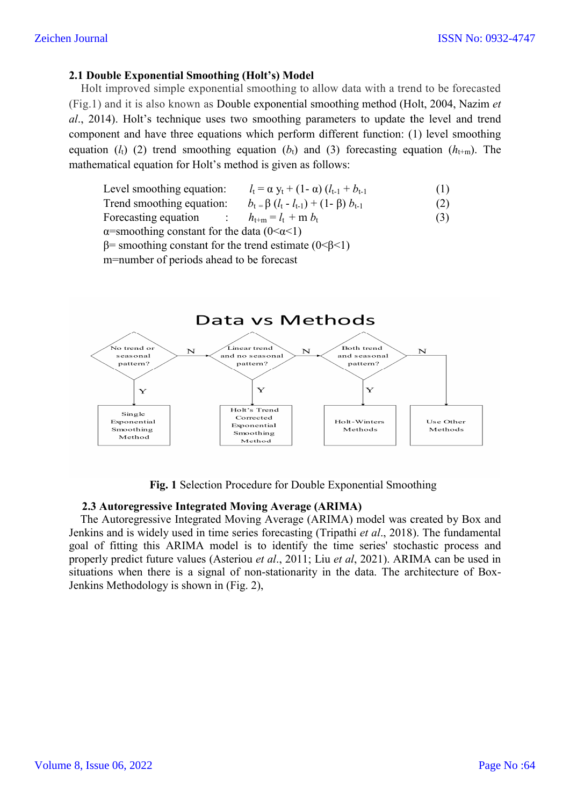## **2.1 Double Exponential Smoothing (Holt's) Model**

Holt improved simple exponential smoothing to allow data with a trend to be forecasted (Fig.1) and it is also known as Double exponential smoothing method (Holt, 2004, Nazim *et* (Fig.1) and it is also known as Double exponential smoothing method (Holt, 2004, Nazim *al*., 2014). Holt's technique uses two smoothing parameters to update the level and trend component and have three equations which perform different function: (1) level smoothing al., 2014). Holt's technique uses two smoothing parameters to update the level and trend component and have three equations which perform different function: (1) level smoothing equation  $(l_t)$  (2) trend smoothing equation mathematical equation for Holt's method is given as follows:

| Level smoothing equation: | $l_{t} = \alpha y_{t} + (1 - \alpha) (l_{t-1} + b_{t-1})$ | (1) |
|---------------------------|-----------------------------------------------------------|-----|
|                           |                                                           |     |

- Trend smoothing equation:  $b_t = \beta (l_t - l_{t-1}) + (1 - \beta) b_{t-1}$  $(2)$  $(3)$
- Forecasting equation :  $h_{t+m} = l_t + m b_t$

 $\alpha$ =smoothing constant for the data (0< $\alpha$ <1)

 $β=$  smoothing constant for the trend estimate (0<β < 1)

m=number of periods ahead to be forecast



**Fig. 1** Selection Procedure for Double Exponential Smoothing

#### **2.3 Autoregressive Integrated Moving Average (ARIMA)**

 The Autoregressive Integrated Moving Average (ARIMA) model was created by Box and Jenkins and is widely used in time series forecasting (Tripathi et al., 2018). The fundamental goal of fitting this ARIMA model is to identify the time series' stochastic process and properly predict future values ( (Asteriou *et al*., 2011; Liu *et al*, 2021). ARIMA can be used in Fig. 1 Selection Procedure for Double Exponential Smoothing<br>
2.3 Autoregressive Integrated Moving Average (ARIMA)<br>
The Autoregressive Integrated Moving Average (ARIMA) model was created by Box and<br>
Jenkins and is widely us Jenkins Methodology is shown in (Fig. 2),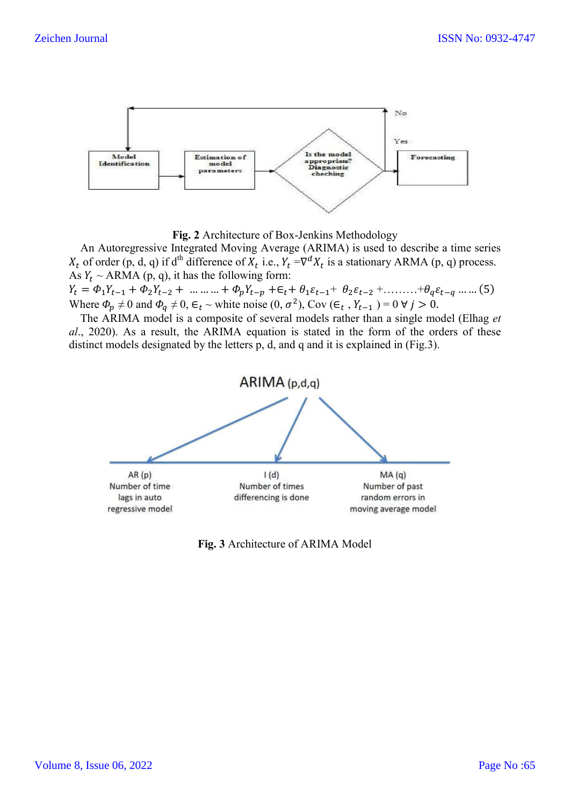

**Fig. 2** Architecture of Box-Jenkins Methodology

 An Autoregressive Integrated Moving Average (ARIMA) is used to describe a time series  $X_t$  of order (p, d, q) if d<sup>th</sup> difference of  $X_t$  i.e.,  $Y_t = \nabla^d X_t$  is a stationary ARMA (p, q) process. As  $Y_t \sim \text{ARMA}$  (p, q), it has the following form:

 $Y_t = \Phi_1 Y_{t-1} + \Phi_2 Y_{t-2} + \dots + \Phi_p Y_{t-p} + \epsilon_t + \theta_1 \epsilon_{t-1} + \theta_2 \epsilon_{t-2} + \dots + \theta_q \epsilon_{t-q} \dots$  (5) Where  $\Phi_p \neq 0$  and  $\Phi_q \neq 0$ ,  $\epsilon_t \sim$  white noise  $(0, \sigma^2)$ , Cov  $(\epsilon_t, Y_{t-1}) = 0 \ \forall j > 0$ .

 The ARIMA model is a composite of several models rather than a single model (Elhag *et al*., 2020). As a result, the ARIMA equation is stated in the form of the orders of these distinct models designated by the letters p, d, and q and it is explained in (Fig.3).

![](_page_3_Figure_7.jpeg)

**Fig. 3** Architecture of ARIMA Model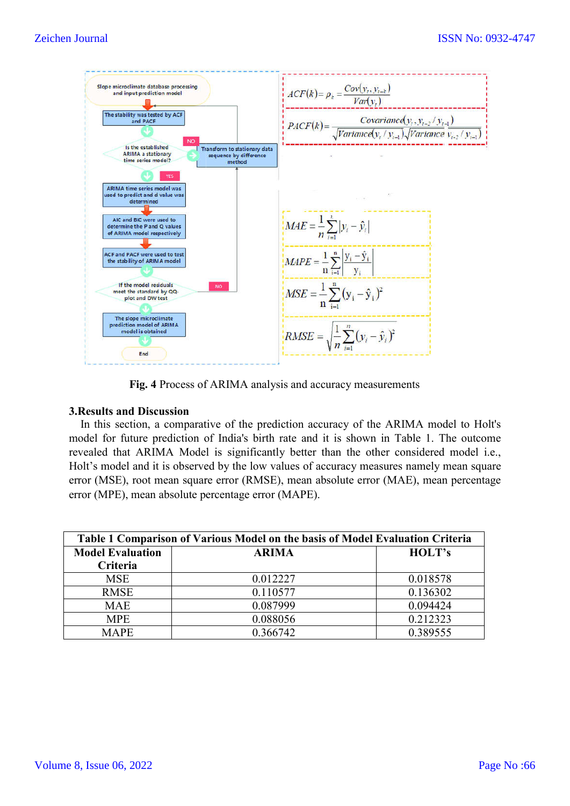![](_page_4_Figure_2.jpeg)

**Fig. 4** Process of ARIMA analysis and accuracy measurements

#### **3.Results and Discussion**

In this section, a comparative of the prediction accuracy of the ARIMA model to Holt's Fig. 4 Process of ARIMA analysis and accuracy measurements<br>3. Results and Discussion<br>In this section, a comparative of the prediction accuracy of the ARIMA model to Holt's<br>model for future prediction of India's birth rate revealed that ARIMA Model is significantly better than the other considered model i.e., Holt's model and it is observed by the low values of accuracy measures namely mean square error (MSE), root mean square error (RMSE), mean absolute error (MAE), error (MPE), mean absolute percentage error (MAPE). IA Model is significantly better than the other considered model i.e., is observed by the low values of accuracy measures namely mean square ean square error (RMSE), mean absolute error (MAE), mean percentage

| Table 1 Comparison of Various Model on the basis of Model Evaluation Criteria |              |          |  |  |  |
|-------------------------------------------------------------------------------|--------------|----------|--|--|--|
| <b>Model Evaluation</b>                                                       | <b>ARIMA</b> | HOLT's   |  |  |  |
| Criteria                                                                      |              |          |  |  |  |
| <b>MSE</b>                                                                    | 0.012227     | 0.018578 |  |  |  |
| <b>RMSE</b>                                                                   | 0.110577     | 0.136302 |  |  |  |
| <b>MAE</b>                                                                    | 0.087999     | 0.094424 |  |  |  |
| <b>MPE</b>                                                                    | 0.088056     | 0.212323 |  |  |  |
| <b>MAPE</b>                                                                   | 0.366742     | 0.389555 |  |  |  |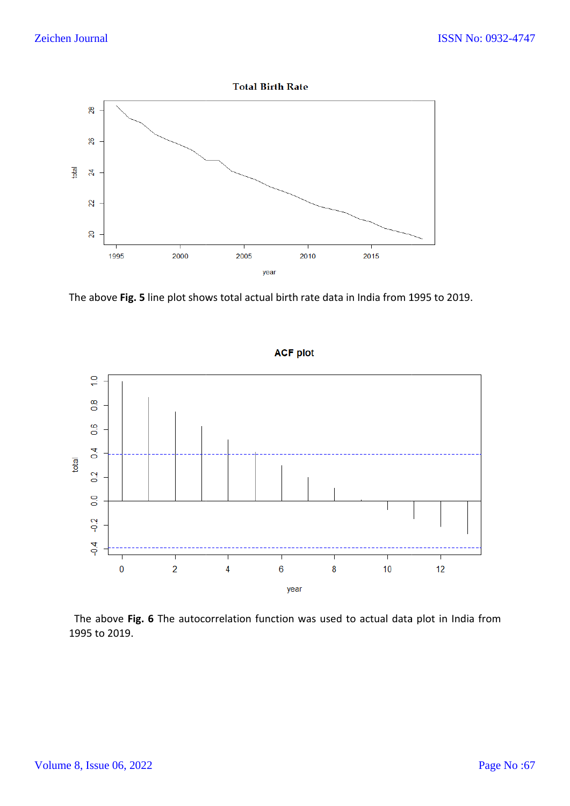![](_page_5_Figure_2.jpeg)

The above Fig. 5 line plot shows total actual birth rate data in India from 1995 to 2019.

![](_page_5_Figure_4.jpeg)

The above Fig. 6 The autocorrelation function was used to actual data plot in India from 1995 to 2019.

**ACF plot**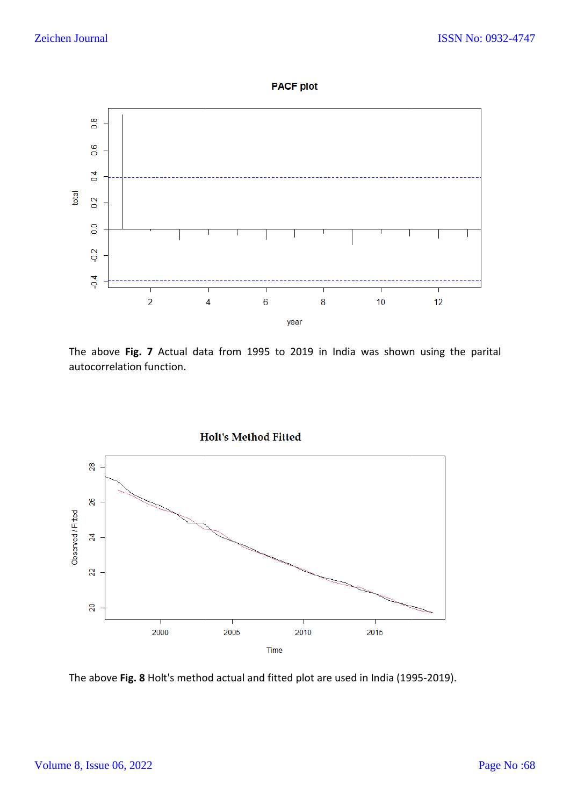![](_page_6_Figure_2.jpeg)

![](_page_6_Figure_3.jpeg)

The above **Fig. 7** Actual data from 1995 to 20 2019 in India was shown using the parital autocorrelation function.

![](_page_6_Figure_5.jpeg)

The above **Fig. 8** Holt's method actual and fitted plot are used in India (1995-2019).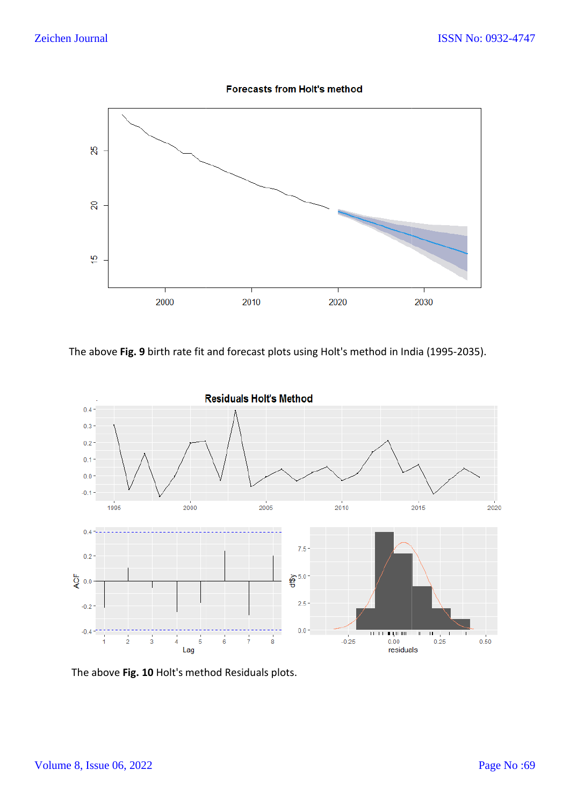![](_page_7_Figure_2.jpeg)

![](_page_7_Figure_3.jpeg)

The above **Fig. 9** birth rate fit and forecast plots using Holt's method in India (19 95-2035).

![](_page_7_Figure_5.jpeg)

The above **Fig. 10** Holt's method Residuals plots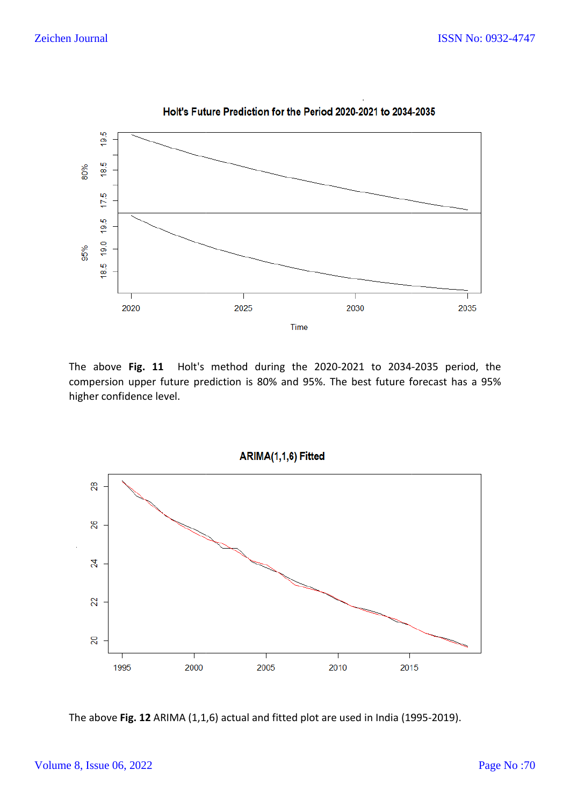![](_page_8_Figure_2.jpeg)

Holt's Future Prediction for the Period 2020-2021 to 2034-2035

The above Fig. 11 Holt's method during the 2020-2021 to 2034-2035 period, the compersion upper future prediction is 80% and 95%. The best future forecast has a 95% higher confidence level.

![](_page_8_Figure_5.jpeg)

The above Fig. 12 ARIMA (1,1,6) actual and fitted plot are used in India (1995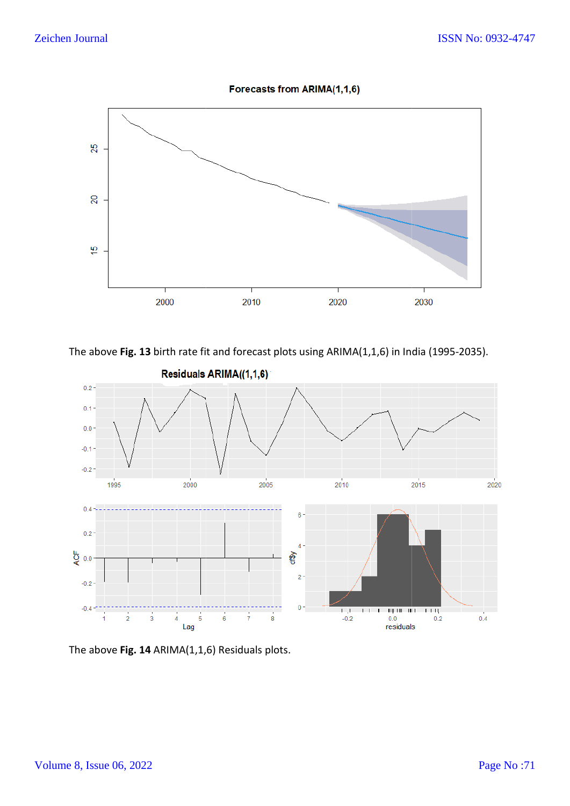![](_page_9_Figure_2.jpeg)

![](_page_9_Figure_3.jpeg)

The above Fig. 13 birth rate fit and forecast plots using ARIMA(1,1,6) in India (1995-2035).

![](_page_9_Figure_5.jpeg)

The above **Fig. 14** ARIMA(1,1, ,6) Residuals plots.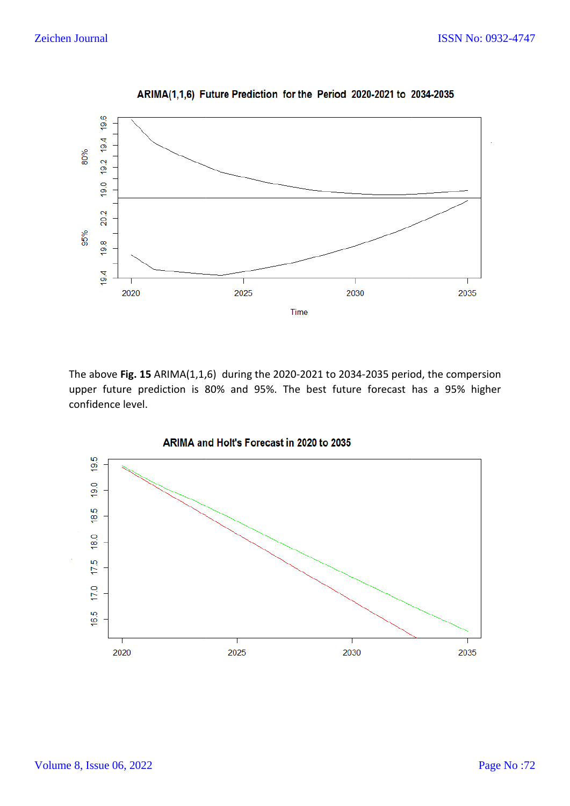![](_page_10_Figure_2.jpeg)

ARIMA(1,1,6) Future Prediction for the Period 2020-2021 to 2034-2035

The above **Fig. 15** ARIMA(1,1, 6) during the 2020-2021 to 2034-2035 period, the compersion upper future prediction is 80% and 95%. The best future forecast has a 95% higher confidence level.

![](_page_10_Figure_5.jpeg)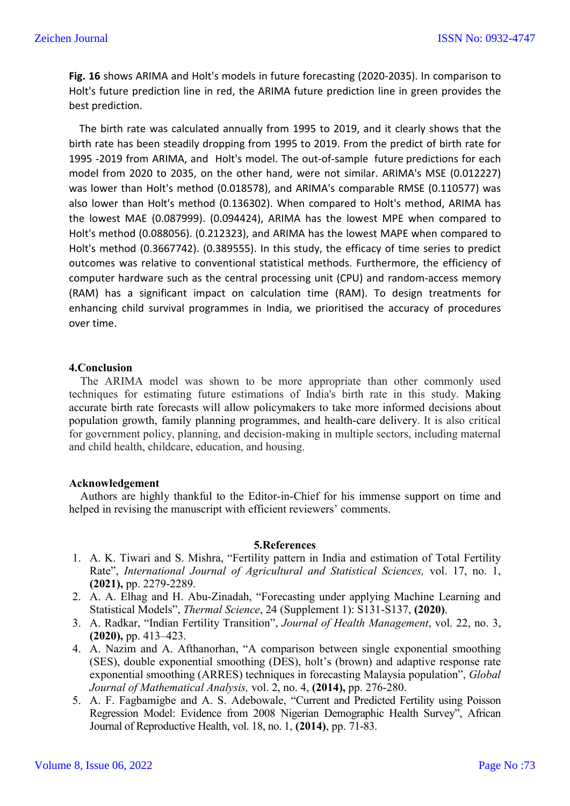**Fig. 16** shows ARIMA and Holt's models in future forecasting (2020-2035). In comparison to Holt's future prediction line in red, the ARIMA future prediction line in green provides the best prediction.

 The birth rate was calculated annually from 1995 to 2019, and it clearly shows that the birth rate has been steadily dropping from 1995 to 2019. From the predict of birth rate for 1995 -2019 from ARIMA, and Holt's model. The out-of-sample future predictions for each model from 2020 to 2035, on the other hand, were not similar. ARIMA's MSE (0.012227) was lower than Holt's method (0.018578), and ARIMA's comparable RMSE (0.110577) was also lower than Holt's method (0.136302). When compared to Holt's method, ARIMA has the lowest MAE (0.087999). (0.094424), ARIMA has the lowest MPE when compared to Holt's method (0.088056). (0.212323), and ARIMA has the lowest MAPE when compared to Holt's method (0.3667742). (0.389555). In this study, the efficacy of time series to predict outcomes was relative to conventional statistical methods. Furthermore, the efficiency of computer hardware such as the central processing unit (CPU) and random-access memory (RAM) has a significant impact on calculation time (RAM). To design treatments for enhancing child survival programmes in India, we prioritised the accuracy of procedures over time.

#### **4.Conclusion**

 The ARIMA model was shown to be more appropriate than other commonly used techniques for estimating future estimations of India's birth rate in this study. Making accurate birth rate forecasts will allow policymakers to take more informed decisions about population growth, family planning programmes, and health-care delivery. It is also critical for government policy, planning, and decision-making in multiple sectors, including maternal and child health, childcare, education, and housing.

#### **Acknowledgement**

 Authors are highly thankful to the Editor-in-Chief for his immense support on time and helped in revising the manuscript with efficient reviewers' comments.

#### **5.References**

- 1. A. K. Tiwari and S. Mishra, "Fertility pattern in India and estimation of Total Fertility Rate", *International Journal of Agricultural and Statistical Sciences,* vol. 17, no. 1, **(2021),** pp. 2279-2289.
- 2. A. A. Elhag and H. Abu-Zinadah, "Forecasting under applying Machine Learning and Statistical Models", *Thermal Science*, 24 (Supplement 1): S131-S137, **(2020)**.
- 3. A. Radkar, "Indian Fertility Transition", *Journal of Health Management*, vol. 22, no. 3, **(2020),** pp. 413–423.
- 4. A. Nazim and A. Afthanorhan, "A comparison between single exponential smoothing (SES), double exponential smoothing (DES), holt's (brown) and adaptive response rate exponential smoothing (ARRES) techniques in forecasting Malaysia population", *Global Journal of Mathematical Analysis,* vol. 2, no. 4, **(2014),** pp. 276-280.
- 5. A. F. Fagbamigbe and A. S. Adebowale, "Current and Predicted Fertility using Poisson Regression Model: Evidence from 2008 Nigerian Demographic Health Survey", African Journal of Reproductive Health, vol. 18, no. 1, **(2014)**, pp. 71-83.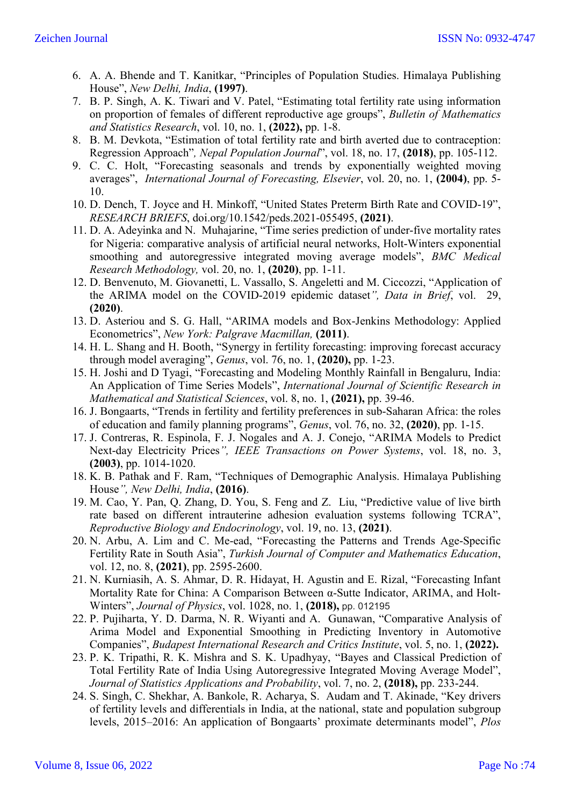- 6. A. A. Bhende and T. Kanitkar, "Principles of Population Studies. Himalaya Publishing House", *New Delhi, India*, **(1997)**.
- 7. B. P. Singh, A. K. Tiwari and V. Patel, "Estimating total fertility rate using information on proportion of females of different reproductive age groups", *Bulletin of Mathematics and Statistics Research*, vol. 10, no. 1, **(2022),** pp. 1-8.
- 8. B. M. Devkota, "Estimation of total fertility rate and birth averted due to contraception: Regression Approach"*, Nepal Population Journal*", vol. 18, no. 17, **(2018)**, pp. 105-112.
- 9. C. C. Holt, "Forecasting seasonals and trends by exponentially weighted moving averages", *International Journal of Forecasting, Elsevier*, vol. 20, no. 1, **(2004)**, pp. 5- 10.
- 10. D. Dench, T. Joyce and H. Minkoff, "United States Preterm Birth Rate and COVID-19", *RESEARCH BRIEFS*, doi.org/10.1542/peds.2021-055495, **(2021)**.
- 11. D. A. Adeyinka and N. Muhajarine, "Time series prediction of under-five mortality rates for Nigeria: comparative analysis of artificial neural networks, Holt-Winters exponential smoothing and autoregressive integrated moving average models", *BMC Medical Research Methodology,* vol. 20, no. 1, **(2020)**, pp. 1-11.
- 12. D. Benvenuto, M. Giovanetti, L. Vassallo, S. Angeletti and M. Ciccozzi, "Application of the ARIMA model on the COVID-2019 epidemic dataset*", Data in Brief*, vol. 29, **(2020)**.
- 13. D. Asteriou and S. G. Hall, "ARIMA models and Box-Jenkins Methodology: Applied Econometrics", *New York: Palgrave Macmillan,* **(2011)**.
- 14. H. L. Shang and H. Booth, "Synergy in fertility forecasting: improving forecast accuracy through model averaging", *Genus*, vol. 76, no. 1, **(2020),** pp. 1-23.
- 15. H. Joshi and D Tyagi, "Forecasting and Modeling Monthly Rainfall in Bengaluru, India: An Application of Time Series Models", *International Journal of Scientific Research in Mathematical and Statistical Sciences*, vol. 8, no. 1, **(2021),** pp. 39-46.
- 16. J. Bongaarts, "Trends in fertility and fertility preferences in sub-Saharan Africa: the roles of education and family planning programs", *Genus*, vol. 76, no. 32, **(2020)**, pp. 1-15.
- 17. J. Contreras, R. Espinola, F. J. Nogales and A. J. Conejo, "ARIMA Models to Predict Next-day Electricity Prices*", IEEE Transactions on Power Systems*, vol. 18, no. 3, **(2003)**, pp. 1014-1020.
- 18. K. B. Pathak and F. Ram, "Techniques of Demographic Analysis. Himalaya Publishing House*", New Delhi, India*, **(2016)**.
- 19. M. Cao, Y. Pan, Q. Zhang, D. You, S. Feng and Z. Liu, "Predictive value of live birth rate based on different intrauterine adhesion evaluation systems following TCRA", *Reproductive Biology and Endocrinology*, vol. 19, no. 13, **(2021)**.
- 20. N. Arbu, A. Lim and C. Me-ead, "Forecasting the Patterns and Trends Age-Specific Fertility Rate in South Asia", *Turkish Journal of Computer and Mathematics Education*, vol. 12, no. 8, **(2021)**, pp. 2595-2600.
- 21. N. Kurniasih, A. S. Ahmar, D. R. Hidayat, H. Agustin and E. Rizal, "Forecasting Infant Mortality Rate for China: A Comparison Between α-Sutte Indicator, ARIMA, and Holt-Winters", *Journal of Physics*, vol. 1028, no. 1, **(2018),** pp. 012195
- 22. P. Pujiharta, Y. D. Darma, N. R. Wiyanti and A. Gunawan, "Comparative Analysis of Arima Model and Exponential Smoothing in Predicting Inventory in Automotive Companies", *Budapest International Research and Critics Institute*, vol. 5, no. 1, **(2022).**
- 23. P. K. Tripathi, R. K. Mishra and S. K. Upadhyay, "Bayes and Classical Prediction of Total Fertility Rate of India Using Autoregressive Integrated Moving Average Model", *Journal of Statistics Applications and Probability*, vol. 7, no. 2, **(2018),** pp. 233-244.
- 24. S. Singh, C. Shekhar, A. Bankole, R. Acharya, S. Audam and T. Akinade, "Key drivers of fertility levels and differentials in India, at the national, state and population subgroup levels, 2015–2016: An application of Bongaarts' proximate determinants model", *Plos*